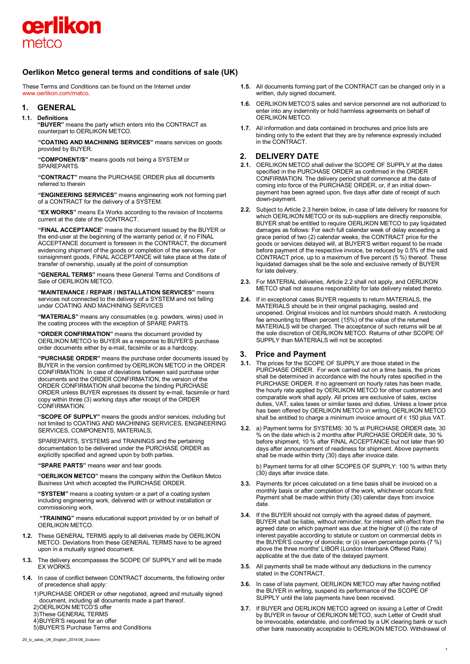

# **Oerlikon Metco general terms and conditions of sale (UK)**

These Terms and Conditions can be found on the Internet under [www.oerlikon.com/metco.](http://www.oerlikon.com/metco)

# **1. GENERAL**

#### **1.1. Definitions**

**"BUYER"** means the party which enters into the CONTRACT as counterpart to OERLIKON METCO.

**"COATING AND MACHINING SERVICES"** means services on goods provided by BUYER.

**"COMPONENT/S"** means goods not being a SYSTEM or SPAREPARTS.

**"CONTRACT"** means the PURCHASE ORDER plus all documents referred to therein

**"ENGINEERING SERVICES"** means engineering work not forming part of a CONTRACT for the delivery of a SYSTEM.

**"EX WORKS"** means Ex Works according to the revision of Incoterms current at the date of the CONTRACT.

**"FINAL ACCEPTANCE**" means the document issued by the BUYER or the end-user at the beginning of the warranty period or, if no FINAL ACCEPTANCE document is foreseen in the CONTRACT, the document evidencing shipment of the goods or completion of the services. For consignment goods, FINAL ACCEPTANCE will take place at the date of transfer of ownership, usually at the point of consumption

**"GENERAL TERMS"** means these General Terms and Conditions of Sale of OERLIKON METCO.

**"MAINTENANCE / REPAIR / INSTALLATION SERVICES"** means services not connected to the delivery of a SYSTEM and not falling under COATING AND MACHINING SERVICES

**"MATERIALS"** means any consumables (e.g. powders, wires) used in the coating process with the exception of SPARE PARTS

**"ORDER CONFIRMATION"** means the document provided by OERLIKON METCO to BUYER as a response to BUYER'S purchase order documents either by e-mail, facsimile or as a hardcopy.

**"PURCHASE ORDER"** means the purchase order documents issued by BUYER in the version confirmed by OERLIKON METCO in the ORDER CONFIRMATION. In case of deviations between said purchase order documents and the ORDER CONFIRMATION, the version of the ORDER CONFIRMATION shall become the binding PURCHASE ORDER unless BUYER expresses its dissent by e-mail, facsimile or hard copy within three (3) working days after receipt of the ORDER CONFIRMATION.

**"SCOPE OF SUPPLY"** means the goods and/or services, including but not limited to COATING AND MACHINING SERVICES, ENGINEERING SERVICES, COMPONENTS, MATERIALS,

SPAREPARTS, SYSTEMS and TRAININGS and the pertaining documentation to be delivered under the PURCHASE ORDER as explicitly specified and agreed upon by both parties.

**"SPARE PARTS"** means wear and tear goods.

**"OERLIKON METCO"** means the company within the Oerlikon Metco Business Unit which accepted the PURCHASE ORDER.

**"SYSTEM"** means a coating system or a part of a coating system including engineering work, delivered with or without installation or commissioning work.

**"TRAINING"** means educational support provided by or on behalf of OERLIKON METCO.

- **1.2.** These GENERAL TERMS apply to all deliveries made by OERLIKON METCO. Deviations from these GENERAL TERMS have to be agreed upon in a mutually signed document.
- **1.3.** The delivery encompasses the SCOPE OF SUPPLY and will be made EX WORKS
- **1.4.** In case of conflict between CONTRACT documents, the following order of precedence shall apply:

1)PURCHASE ORDER or other negotiated, agreed and mutually signed document, including all documents made a part thereof.

- 2)OERLIKON METCO'S offer
- 3)These GENERAL TERMS
- 4)BUYER'S request for an offer
- 5)BUYER'S Purchase Terms and Conditions
- 20\_tc\_sales\_UK\_English\_2014-06\_2column
- **1.5.** All documents forming part of the CONTRACT can be changed only in a written, duly signed document.
- **1.6.** OERLIKON METCO'S sales and service personnel are not authorized to enter into any indemnity or hold harmless agreements on behalf of OERLIKON METCO.
- **1.7.** All information and data contained in brochures and price lists are binding only to the extent that they are by reference expressly included in the CONTRACT.

# **2. DELIVERY DATE**

- **2.1.** OERLIKON METCO shall deliver the SCOPE OF SUPPLY at the dates specified in the PURCHASE ORDER as confirmed in the ORDER CONFIRMATION. The delivery period shall commence at the date of coming into force of the PURCHASE ORDER, or, if an initial downpayment has been agreed upon, five days after date of receipt of such down-payment.
- **2.2.** Subject to Article 2.3 herein below, in case of late delivery for reasons for which OERLIKON METCO or its sub-suppliers are directly responsible, BUYER shall be entitled to require OERLIKON METCO to pay liquidated damages as follows: For each full calendar week of delay exceeding a grace period of two (2) calendar weeks, the CONTRACT price for the goods or services delayed will, at BUYER'S written request to be made before payment of the respective invoice, be reduced by 0.5% of the said CONTRACT price, up to a maximum of five percent (5 %) thereof. These liquidated damages shall be the sole and exclusive remedy of BUYER for late delivery.
- **2.3.** For MATERIAL deliveries, Article 2.2 shall not apply, and OERLIKON METCO shall not assume responsibility for late delivery related thereto.
- **2.4.** If in exceptional cases BUYER requests to return MATERIALS, the MATERIALS should be in their original packaging, sealed and unopened. Original invoices and lot numbers should match. A restocking fee amounting to fifteen percent (15%) of the value of the returned MATERIALS will be charged. The acceptance of such returns will be at the sole discretion of OERLIKON METCO. Returns of other SCOPE OF SUPPLY than MATERIALS will not be accepted.

# **3. Price and Payment**

- **3.1.** The prices for the SCOPE OF SUPPLY are those stated in the PURCHASE ORDER. For work carried out on a time basis, the prices shall be determined in accordance with the hourly rates specified in the PURCHASE ORDER. If no agreement on hourly rates has been made, the hourly rate applied by OERLIKON METCO for other customers and comparable work shall apply. All prices are exclusive of sales, excise duties, VAT, sales taxes or similar taxes and duties. Unless a lower price has been offered by OERLIKON METCO in writing, OERLIKON METCO shall be entitled to charge a minimum invoice amount of € 150 plus VAT.
- **3.2.** a) Payment terms for SYSTEMS: 30 % at PURCHASE ORDER date, 30 % on the date which is 2 months after PURCHASE ORDER date, 30 % before shipment, 10 % after FINAL ACCEPTANCE but not later than 90 days after announcement of readiness for shipment. Above payments shall be made within thirty (30) days after invoice date.

b) Payment terms for all other SCOPES OF SUPPLY: 100 % within thirty (30) days after invoice date.

- **3.3.** Payments for prices calculated on a time basis shall be invoiced on a monthly basis or after completion of the work, whichever occurs first. Payment shall be made within thirty (30) calendar days from invoice date.
- **3.4.** If the BUYER should not comply with the agreed dates of payment, BUYER shall be liable, without reminder, for interest with effect from the agreed date on which payment was due at the higher of (i) the rate of interest payable according to statute or custom on commercial debts in the BUYER'S country of domicile; or (ii) seven percentage points (7 %) above the three months' LIBOR (London Interbank Offered Rate) applicable at the due date of the delayed payment.
- **3.5.** All payments shall be made without any deductions in the currency stated in the CONTRACT.
- **3.6.** In case of late payment, OERLIKON METCO may after having notified the BUYER in writing, suspend its performance of the SCOPE OF SUPPLY until the late payments have been received.
- **3.7.** If BUYER and OERLIKON METCO agreed on issuing a Letter of Credit by BUYER in favour of OERLIKON METCO, such Letter of Credit shall be irrevocable, extendable, and confirmed by a UK clearing bank or such other bank reasonably acceptable to OERLIKON METCO. Withdrawal of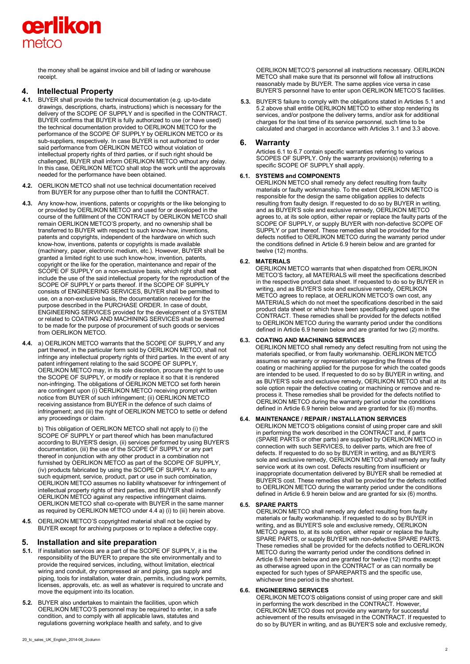

the money shall be against invoice and bill of lading or warehouse receipt.

# **4. Intellectual Property**

- **4.1.** BUYER shall provide the technical documentation (e.g. up-to-date drawings, descriptions, charts, instructions) which is necessary for the delivery of the SCOPE OF SUPPLY and is specified in the CONTRACT. BUYER confirms that BUYER is fully authorized to use (or have used) the technical documentation provided to OERLIKON METCO for the performance of the SCOPE OF SUPPLY by OERLIKON METCO or its sub-suppliers, respectively. In case BUYER is not authorized to order said performance from OERLIKON METCO without violation of intellectual property rights of third parties, or if such right should be challenged, BUYER shall inform OERLIKON METCO without any delay. In this case, OERLIKON METCO shall stop the work until the approvals needed for the performance have been obtained.
- **4.2.** OERLIKON METCO shall not use technical documentation received from BUYER for any purpose other than to fulfill the CONTRACT.
- **4.3.** Any know-how, inventions, patents or copyrights or the like belonging to or provided by OERLIKON METCO and used for or developed in the course of the fulfillment of the CONTRACT by OERLIKON METCO shall remain OERLIKON METCO'S property, and no ownership shall be transferred to BUYER with respect to such know-how, inventions, patents and copyrights, independent of the hardware on which such know-how, inventions, patents or copyrights is made available (machinery, paper, electronic medium, etc.). However, BUYER shall be granted a limited right to use such know-how, invention, patents, copyright or the like for the operation, maintenance and repair of the SCOPE OF SUPPLY on a non-exclusive basis, which right shall **not** include the use of the said intellectual property for the reproduction of the SCOPE OF SUPPLY or parts thereof. If the SCOPE OF SUPPLY consists of ENGINEERING SERVICES, BUYER shall be permitted to use, on a non-exclusive basis, the documentation received for the purpose described in the PURCHASE ORDER. In case of doubt, ENGINEERING SERVICES provided for the development of a SYSTEM or related to COATING AND MACHINING SERVICES shall be deemed to be made for the purpose of procurement of such goods or services from OERLIKON METCO.
- **4.4.** a) OERLIKON METCO warrants that the SCOPE OF SUPPLY and any part thereof, in the particular form sold by OERLIKON METCO, shall not infringe any intellectual property rights of third parties. In the event of any patent infringement relating to the said SCOPE OF SUPPLY, OERLIKON METCO may, in its sole discretion, procure the right to use the SCOPE OF SUPPLY, or modify or replace it so that it is rendered non-infringing. The obligations of OERLIKON METCO set forth herein are contingent upon (i) OERLIKON METCO receiving prompt written notice from BUYER of such infringement; (ii) OERLIKON METCO receiving assistance from BUYER in the defence of such claims of infringement; and (iii) the right of OERLIKON METCO to settle or defend any proceedings or claim.

b) This obligation of OERLIKON METCO shall not apply to (i) the SCOPE OF SUPPLY or part thereof which has been manufactured according to BUYER'S design, (ii) services performed by using BUYER'S documentation, (iii) the use of the SCOPE OF SUPPLY or any part thereof in conjunction with any other product in a combination not furnished by OERLIKON METCO as part of the SCOPE OF SUPPLY, (iv) products fabricated by using the SCOPE OF SUPPLY. As to any such equipment, service, product, part or use in such combination, OERLIKON METCO assumes no liability whatsoever for infringement of intellectual property rights of third parties, and BUYER shall indemnify OERLIKON METCO against any respective infringement claims. OERLIKON METCO shall co-operate with BUYER in the same manner as required by OERLIKON METCO under 4.4 a) (i) to (iii) herein above.

**4.5**. OERLIKON METCO'S copyrighted material shall not be copied by BUYER except for archiving purposes or to replace a defective copy.

# **5. Installation and site preparation**

- **5.1.** If installation services are a part of the SCOPE OF SUPPLY, it is the responsibility of the BUYER to prepare the site environmentally and to provide the required services, including, without limitation, electrical wiring and conduit, dry compressed air and piping, gas supply and piping, tools for installation, water drain, permits, including work permits, licenses, approvals, etc. as well as whatever is required to uncrate and move the equipment into its location.
- **5.2.** BUYER also undertakes to maintain the facilities, upon which OERLIKON METCO'S personnel may be required to enter, in a safe condition, and to comply with all applicable laws, statutes and regulations governing workplace health and safety, and to give

OERLIKON METCO'S personnel all instructions necessary. OERLIKON METCO shall make sure that its personnel will follow all instructions reasonably made by BUYER. The same applies vice versa in case BUYER'S personnel have to enter upon OERLIKON METCO'S facilities.

**5.3.** BUYER'S failure to comply with the obligations stated in Articles 5.1 and 5.2 above shall entitle OERLIKON METCO to either stop rendering its services, and/or postpone the delivery terms, and/or ask for additional charges for the lost time of its service personnel, such time to be calculated and charged in accordance with Articles 3.1 and 3.3 above.

# **6. Warranty**

Articles 6.1 to 6.7 contain specific warranties referring to various SCOPES OF SUPPLY. Only the warranty provision(s) referring to a specific SCOPE OF SUPPLY shall apply.

# **6.1. SYSTEMS and COMPONENTS**

OERLIKON METCO shall remedy any defect resulting from faulty materials or faulty workmanship. To the extent OERLIKON METCO is responsible for the design the same obligation applies to defects resulting from faulty design. If requested to do so by BUYER in writing, and as BUYER'S sole and exclusive remedy, OERLIKON METCO agrees to, at its sole option, either repair or replace the faulty parts of the SCOPE OF SUPPLY, or supply BUYER with non-defective SCOPE OF SUPPLY or part thereof. These remedies shall be provided for the defects notified to OERLIKON METCO during the warranty period under the conditions defined in Article 6.9 herein below and are granted for twelve (12) months.

# **6.2. MATERIALS**

OERLIKON METCO warrants that when dispatched from OERLIKON METCO'S factory, all MATERIALS will meet the specifications described in the respective product data sheet. If requested to do so by BUYER in writing, and as BUYER'S sole and exclusive remedy, OERLIKON METCO agrees to replace, at OERLIKON METCO'S own cost, any MATERIALS which do not meet the specifications described in the said product data sheet or which have been specifically agreed upon in the CONTRACT. These remedies shall be provided for the defects notified to OERLIKON METCO during the warranty period under the conditions defined in Article 6.9 herein below and are granted for two (2) months.

# **6.3. COATING AND MACHINING SERVICES**

OERLIKON METCO shall remedy any defect resulting from not using the materials specified, or from faulty workmanship. OERLIKON METCC assumes no warranty or representation regarding the fitness of the coating or machining applied for the purpose for which the coated goods are intended to be used. If requested to do so by BUYER in writing, and as BUYER'S sole and exclusive remedy, OERLIKON METCO shall at its sole option repair the defective coating or machining or remove and reprocess it. These remedies shall be provided for the defects notified to OERLIKON METCO during the warranty period under the conditions defined in Article 6.9 herein below and are granted for six (6) months.

# **6.4. MAINTENANCE / REPAIR / INSTALLATION SERVICES**

OERLIKON METCO'S obligations consist of using proper care and skill in performing the work described in the CONTRACT and, if parts (SPARE PARTS or other parts) are supplied by OERLIKON METCO in connection with such SERVICES, to deliver parts, which are free of defects. If requested to do so by BUYER in writing, and as BUYER'S sole and exclusive remedy, OERLIKON METCO shall remedy any faulty service work at its own cost. Defects resulting from insufficient or inappropriate documentation delivered by BUYER shall be remedied at BUYER'S cost. These remedies shall be provided for the defects notified to OERLIKON METCO during the warranty period under the conditions defined in Article 6.9 herein below and are granted for six (6) months.

#### **6.5. SPARE PARTS**

OERLIKON METCO shall remedy any defect resulting from faulty materials or faulty workmanship. If requested to do so by BUYER in writing, and as BUYER'S sole and exclusive remedy, OERLIKON METCO agrees to, at its sole option, either repair or replace the faulty SPARE PARTS, or supply BUYER with non-defective SPARE PARTS. These remedies shall be provided for the defects notified to OERLIKON METCO during the warranty period under the conditions defined in Article 6.9 herein below and are granted for twelve (12) months except as otherwise agreed upon in the CONTRACT or as can normally be expected for such types of SPAREPARTS and the specific use, whichever time period is the shortest.

#### **6.6. ENGINEERING SERVICES**

OERLIKON METCO'S obligations consist of using proper care and skill in performing the work described in the CONTRACT. However, OERLIKON METCO does not provide any warranty for successful achievement of the results envisaged in the CONTRACT. If requested to do so by BUYER in writing, and as BUYER'S sole and exclusive remedy,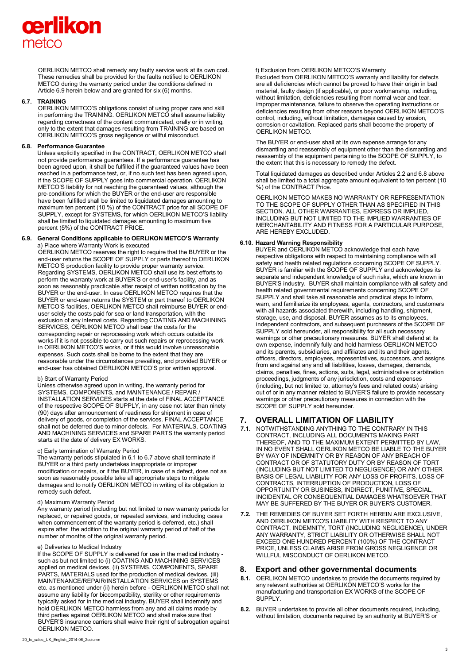# cerlikon metco

OERLIKON METCO shall remedy any faulty service work at its own cost. These remedies shall be provided for the faults notified to OERLIKON METCO during the warranty period under the conditions defined in Article 6.9 herein below and are granted for six (6) months.

#### **6.7. TRAINING**

OERLIKON METCO'S obligations consist of using proper care and skill in performing the TRAINING. OERLIKON METCO shall assume liability regarding correctness of the content communicated, orally or in writing, only to the extent that damages resulting from TRAINING are based on OERLIKON METCO'S gross negligence or willful misconduct.

#### **6.8. Performance Guarantee**

Unless explicitly specified in the CONTRACT, OERLIKON METCO shall not provide performance guarantees. If a performance guarantee has been agreed upon, it shall be fulfilled if the guaranteed values have been reached in a performance test, or, if no such test has been agreed upon, if the SCOPE OF SUPPLY goes into commercial operation. OERLIKON METCO'S liability for not reaching the guaranteed values, although the pre-conditions for which the BUYER or the end-user are responsible have been fulfilled shall be limited to liquidated damages amounting to maximum ten percent (10 %) of the CONTRACT price for all SCOPE OF SUPPLY, except for SYSTEMS, for which OERLIKON METCO'S liability shall be limited to liquidated damages amounting to maximum five percent (5%) of the CONTRACT PRICE.

#### **6.9. General Conditions applicable to OERLIKON METCO'S Warranty**  a) Place where Warranty Work is executed

OERLIKON METCO reserves the right to require that the BUYER or the end-user returns the SCOPE OF SUPPLY or parts thereof to OERLIKON METCO'S production facility to provide proper warranty service. Regarding SYSTEMS, OERLIKON METCO shall use its best efforts to perform the warranty work at BUYER'S or end-user's facility, and as soon as reasonably practicable after receipt of written notification by the BUYER or the end-user. In case OERLIKON METCO requires that the BUYER or end-user returns the SYSTEM or part thereof to OERLIKON METCO'S facilities, OERLIKON METCO shall reimburse BUYER or enduser solely the costs paid for sea or land transportation, with the exclusion of any internal costs. Regarding COATING AND MACHINING SERVICES, OERLIKON METCO shall bear the costs for the corresponding repair or reprocessing work which occurs outside its works if it is not possible to carry out such repairs or reprocessing work in OERLIKON METCO'S works, or if this would involve unreasonable expenses. Such costs shall be borne to the extent that they are reasonable under the circumstances prevailing, and provided BUYER or end-user has obtained OERLIKON METCO'S prior written approval.

#### b) Start of Warranty Period

Unless otherwise agreed upon in writing, the warranty period for SYSTEMS, COMPONENTS, and MAINTENANCE / REPAIR / INSTALLATION SERVICES starts at the date of FINAL ACCEPTANCE of the respective SCOPE OF SUPPLY, in any case not later than ninety (90) days after announcement of readiness for shipment in case of delivery of goods, or completion of the services. FINAL ACCEPTANCE shall not be deferred due to minor defects. For MATERIALS, COATING AND MACHINING SERVICES and SPARE PARTS the warranty period starts at the date of delivery EX WORKS.

#### c) Early termination of Warranty Period

The warranty periods stipulated in 6.1 to 6.7 above shall terminate if BUYER or a third party undertakes inappropriate or improper modification or repairs, or if the BUYER, in case of a defect, does not as soon as reasonably possible take all appropriate steps to mitigate damages and to notify OERLIKON METCO in writing of its obligation to remedy such defect.

#### d) Maximum Warranty Period

Any warranty period (including but not limited to new warranty periods for replaced, or repaired goods, or repeated services, and including cases when commencement of the warranty period is deferred, etc.) shall expire after the addition to the original warranty period of half of the number of months of the original warranty period.

#### e) Deliveries to Medical Industry

If the SCOPE OF SUPPLY is delivered for use in the medical industry such as but not limited to (i) COATING AND MACHINING SERVICES applied on medical devices, (ii) SYSTEMS, COMPONENTS, SPARE PARTS, MATERIALS used for the production of medical devices, (iii) MAINTENANCE/REPAIR/INSTALLATION SERVICES on SYSTEMS etc. as mentioned under (ii) herein before - OERLIKON METCO shall not assume any liability for biocompatibility, sterility or other requirements typically asked for in the medical industry. BUYER shall indemnify and hold OERLIKON METCO harmless from any and all claims made by third parties against OERLIKON METCO and shall make sure that BUYER'S insurance carriers shall waive their right of subrogation against OERLIKON METCO.

The BUYER or end-user shall at its own expense arrange for any dismantling and reassembly of equipment other than the dismantling and reassembly of the equipment pertaining to the SCOPE OF SUPPLY, to the extent that this is necessary to remedy the defect. Total liquidated damages as described under Articles 2.2 and 6.8 above shall be limited to a total aggregate amount equivalent to ten percent (10 %) of the CONTRACT Price. OERLIKON METCO MAKES NO WARRANTY OR REPRESENTATION TO THE SCOPE OF SUPPLY OTHER THAN AS SPECIFIED IN THIS SECTION. ALL OTHER WARRANTIES, EXPRESS OR IMPLIED, INCLUDING BUT NOT LIMITED TO THE IMPLIED WARRANTIES OF

# **6.10. Hazard Warning Responsibility**

ARE HEREBY EXCLUDED.

OERLIKON METCO.

f) Exclusion from OERLIKON METCO'S Warranty

Excluded from OERLIKON METCO'S warranty and liability for defects are all deficiencies which cannot be proved to have their origin in bad material, faulty design (if applicable), or poor workmanship, including, without limitation, deficiencies resulting from normal wear and tear, improper maintenance, failure to observe the operating instructions or deficiencies resulting from other reasons beyond OERLIKON METCO'S control, including, without limitation, damages caused by erosion, corrosion or cavitation. Replaced parts shall become the property of

BUYER and OERLIKON METCO acknowledge that each have respective obligations with respect to maintaining compliance with all safety and health related regulations concerning SCOPE OF SUPPLY. BUYER is familiar with the SCOPE OF SUPPLY and acknowledges its separate and independent knowledge of such risks, which are known in BUYER'S industry. BUYER shall maintain compliance with all safety and health related governmental requirements concerning SCOPE OF SUPPLY and shall take all reasonable and practical steps to inform, warn, and familiarize its employees, agents, contractors, and customers with all hazards associated therewith, including handling, shipment, storage, use, and disposal. BUYER assumes as to its employees, independent contractors, and subsequent purchasers of the SCOPE OF SUPPLY sold hereunder, all responsibility for all such necessary warnings or other precautionary measures. BUYER shall defend at its own expense, indemnify fully and hold harmless OERLIKON METCO and its parents, subsidiaries, and affiliates and its and their agents, officers, directors, employees, representatives, successors, and assigns from and against any and all liabilities, losses, damages, demands, claims, penalties, fines, actions, suits, legal, administrative or arbitration proceedings, judgments of any jurisdiction, costs and expenses (including, but not limited to, attorney's fees and related costs) arising out of or in any manner related to BUYER'S failure to provide necessary warnings or other precautionary measures in connection with the SCOPE OF SUPPLY sold hereunder.

MERCHANTABILITY AND FITNESS FOR A PARTICULAR PURPOSE,

# **7. OVERALL LIMITATION OF LIABILITY**

- **7.1.** NOTWITHSTANDING ANYTHING TO THE CONTRARY IN THIS CONTRACT, INCLUDING ALL DOCUMENTS MAKING PART THEREOF, AND TO THE MAXIMUM EXTENT PERMITTED BY LAW, IN NO EVENT SHALL OERLIKON METCO BE LIABLE TO THE BUYER BY WAY OF INDEMNITY OR BY REASON OF ANY BREACH OF CONTRACT OR OF STATUTORY DUTY OR BY REASON OF TORT (INCLUDING BUT NOT LIMITED TO NEGLIGENCE) OR ANY OTHER BASIS OF LEGAL LIABILITY FOR ANY LOSS OF PROFITS, LOSS OF CONTRACTS, INTERRUPTION OF PRODUCTION, LOSS OF OPPORTUNITY OR BUSINESS, INDIRECT, PUNITIVE, SPECIAL, INCIDENTAL OR CONSEQUENTIAL DAMAGES WHATSOEVER THAT MAY BE SUFFERED BY THE BUYER OR BUYER'S CUSTOMER.
- **7.2.** THE REMEDIES OF BUYER SET FORTH HEREIN ARE EXCLUSIVE, AND OERLIKON METCO'S LIABILITY WITH RESPECT TO ANY CONTRACT, INDEMNITY, TORT (INCLUDING NEGLIGENCE), UNDER ANY WARRANTY, STRICT LIABILITY OR OTHERWISE SHALL NOT EXCEED ONE HUNDRED PERCENT (100%) OF THE CONTRACT PRICE, UNLESS CLAIMS ARISE FROM GROSS NEGLIGENCE OR WILLFUL MISCONDUCT OF OERLIKON METCO.

#### **8. Export and other governmental documents**

- **8.1.** OERLIKON METCO undertakes to provide the documents required by any relevant authorities at OERLIKON METCO'S works for the manufacturing and transportation EX WORKS of the SCOPE OF SUPPLY.
- **8.2.** BUYER undertakes to provide all other documents required, including, without limitation, documents required by an authority at BUYER'S or